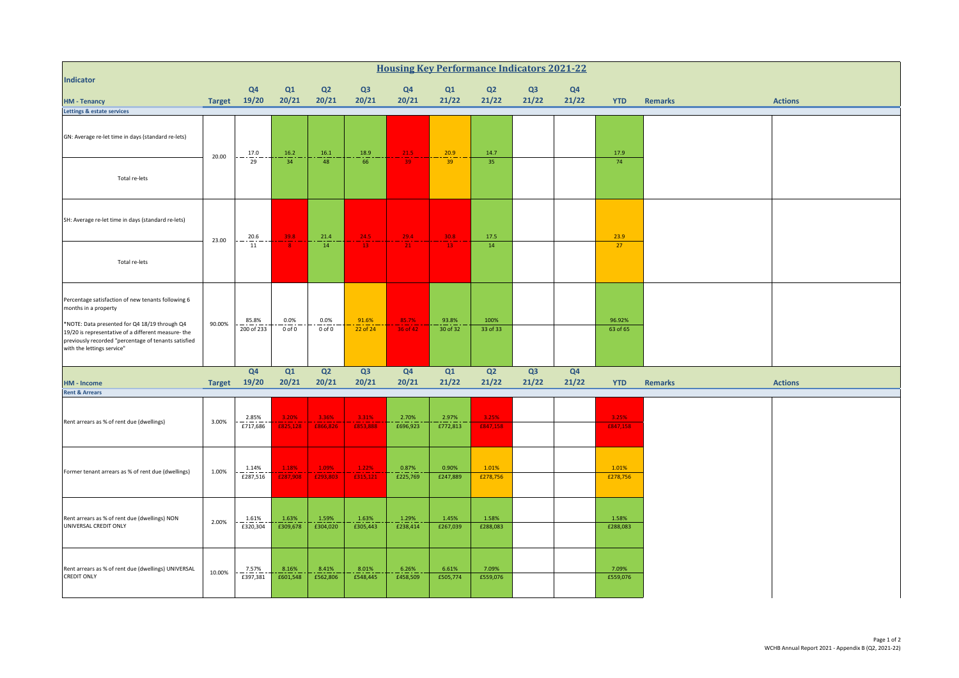| <b>Housing Key Performance Indicators 2021-22</b>                                                                                                                                          |               |                         |                           |                           |                           |                   |                   |                         |             |                |                   |                |                |
|--------------------------------------------------------------------------------------------------------------------------------------------------------------------------------------------|---------------|-------------------------|---------------------------|---------------------------|---------------------------|-------------------|-------------------|-------------------------|-------------|----------------|-------------------|----------------|----------------|
| <b>Indicator</b>                                                                                                                                                                           |               | Q <sub>4</sub>          | Q1                        | Q <sub>2</sub>            | Q <sub>3</sub>            | Q <sub>4</sub>    | Q1                | Q2                      | Q3          | Q <sub>4</sub> |                   |                |                |
| <b>HM - Tenancy</b><br>Lettings & estate services                                                                                                                                          |               | Target 19/20            | 20/21                     | 20/21                     | 20/21                     | 20/21             | 21/22             | 21/22                   | 21/22       | 21/22          | <b>YTD</b>        | <b>Remarks</b> | <b>Actions</b> |
| GN: Average re-let time in days (standard re-lets)                                                                                                                                         | 20.00         | $\frac{17.0}{29}$       | $\frac{16.2}{34}$         | $16.1\,$                  | $\frac{18.9}{66}$         | $\frac{21.5}{39}$ | $\frac{20.9}{39}$ | 14.7                    |             |                | 17.9              |                |                |
| Total re-lets                                                                                                                                                                              |               |                         |                           | 48                        |                           |                   |                   | 35                      |             |                | 74                |                |                |
| SH: Average re-let time in days (standard re-lets)                                                                                                                                         | 23.00         | 20.6                    | $-39.8$                   | 21.4                      | 24.5                      | $-29.4$           | $\frac{30.8}{1}$  | 17.5                    |             |                | 23.9              |                |                |
| Total re-lets                                                                                                                                                                              |               | $\frac{1}{11}$          |                           | 14                        | $-13$                     | $21 -$            | $-13$             | 14                      |             |                | 27                |                |                |
| Percentage satisfaction of new tenants following 6<br>months in a property                                                                                                                 |               |                         |                           |                           | 91.6%                     |                   | 93.8%             | 100%                    |             |                | 96.92%            |                |                |
| *NOTE: Data presented for Q4 18/19 through Q4<br>19/20 is representative of a different measure- the<br>previously recorded "percentage of tenants satisfied<br>with the lettings service" | 90.00%        | 85.8%<br>200 of 233     | 0.0%<br>$0$ of $0$        | 0.0%<br>$0$ of $0$        | 22 of 24                  | 85.7%<br>36 of 42 | 30 of 32          | 33 of 33                |             |                | 63 of 65          |                |                |
| <b>HM - Income</b>                                                                                                                                                                         | <b>Target</b> | Q <sub>4</sub><br>19/20 | Q1<br>20/21               | Q <sub>2</sub><br>20/21   | Q3<br>20/21               | Q4<br>20/21       | Q1<br>21/22       | Q <sub>2</sub><br>21/22 | Q3<br>21/22 | Q4<br>21/22    | <b>YTD</b>        | <b>Remarks</b> | <b>Actions</b> |
| <b>Rent &amp; Arrears</b>                                                                                                                                                                  |               |                         |                           |                           |                           |                   |                   |                         |             |                |                   |                |                |
| Rent arrears as % of rent due (dwellings)                                                                                                                                                  | 3.00%         | 2.85%<br>£717,686       | 3.20%<br>£825,128         | 3.36%<br>£866,826         | 3.31%<br>£853,888         | 2.70%<br>£696,923 | 2.97%<br>£772,813 | 3.25%<br>£847,158       |             |                | 3.25%<br>£847,158 |                |                |
| Former tenant arrears as % of rent due (dwellings)                                                                                                                                         | 1.00%         | 1.14%<br>£287,516       | $\frac{1.18\%}{£287,908}$ | $\frac{1.09\%}{£293,803}$ | $\frac{1.22\%}{f315,121}$ | 0.87%<br>£225,769 | 0.90%<br>£247,889 | 1.01%<br>£278,756       |             |                | 1.01%<br>£278,756 |                |                |
| Rent arrears as % of rent due (dwellings) NON<br>UNIVERSAL CREDIT ONLY                                                                                                                     | 2.00%         | 1.61%<br>£320,304       | 1.63%<br>£309,678         | 1.59%<br>£304,020         | 1.63%<br>£305,443         | 1.29%<br>£238,414 | 1.45%<br>£267,039 | 1.58%<br>£288,083       |             |                | 1.58%<br>£288,083 |                |                |
| Rent arrears as % of rent due (dwellings) UNIVERSAL<br><b>CREDIT ONLY</b>                                                                                                                  | 10.00%        | 7.57%<br>£397,381       | 8.16%<br>£601,548         | 8.41%<br>£562,806         | 8.01%<br>£548,445         | 6.26%<br>£458,509 | 6.61%<br>£505,774 | 7.09%<br>£559,076       |             |                | 7.09%<br>£559,076 |                |                |